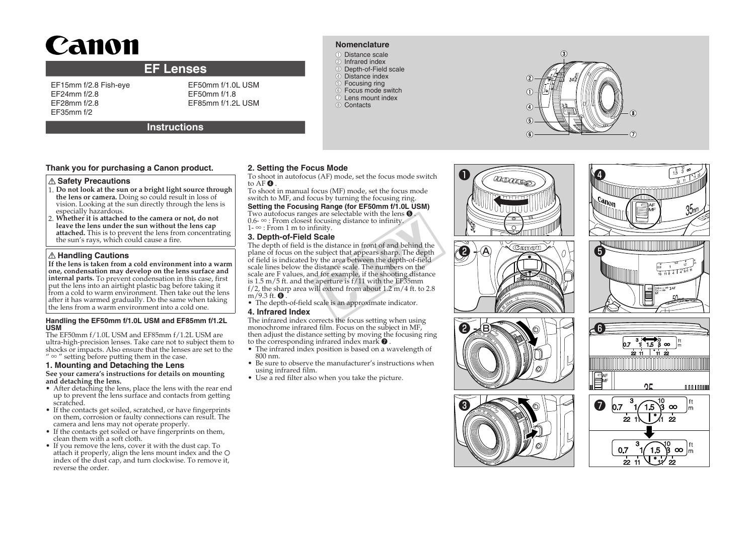# Canon

# **EF Lenses**

EF15mm f/2.8 Fish-eye EF24mm f/2.8 EF28mm f/2.8 EF35mm f/2

EF50mm f/1.0L USM EF50mm f/1.8 FF85mm f/1.2L USM

# **Instructions**

# **Thank you for purchasing a Canon product.**

#### **Safety Precautions**

- 1. **Do not look at the sun or a bright light source through the lens or camera.** Doing so could result in loss of vision. Looking at the sun directly through the lens is especially hazardous.
- 2. **Whether it is attached to the camera or not, do not leave the lens under the sun without the lens cap attached.** This is to prevent the lens from concentrating the sun's rays, which could cause a fire.

# **Handling Cautions**

**If the lens is taken from a cold environment into a warm one, condensation may develop on the lens surface and internal parts.** To prevent condensation in this case, first put the lens into an airtight plastic bag before taking it from a cold to warm environment. Then take out the lens after it has warmed gradually. Do the same when taking the lens from a warm environment into a cold one.

#### **Handling the EF50mm f/1.0L USM and EF85mm f/1.2L USM**

The EF50mm f/1.0L USM and EF85mm f/1.2L USM are ultra-high-precision lenses. Take care not to subject them to shocks or impacts. Also ensure that the lenses are set to the "  $\infty$  " setting before putting them in the case.

### **1. Mounting and Detaching the Lens**

**See your camera's instructions for details on mounting and detaching the lens.**

- After detaching the lens, place the lens with the rear end up to prevent the lens surface and contacts from getting scratched.
- If the contacts get soiled, scratched, or have fingerprints on them, corrosion or faulty connections can result. The camera and lens may not operate properly.
- If the contacts get soiled or have fingerprints on them, clean them with a soft cloth.
- If you remove the lens, cover it with the dust cap. To attach it properly, align the lens mount index and the index of the dust cap, and turn clockwise. To remove it, reverse the order.

# **2. Setting the Focus Mode**

To shoot in autofocus (AF) mode, set the focus mode switch to AF  $\bm{\Theta}$  .

**Nomenclature** ●① Distance scale 2 Infrared index ●③ Depth-of-Field scale 4 Distance index **5** Focusing ring ●⑥ Focus mode switch ●⑦ Lens mount index 8 Contacts

To shoot in manual focus (MF) mode, set the focus mode switch to MF, and focus by turning the focusing ring.

**Setting the Focusing Range (for EF50mm f/1.0L USM)**

- Two autofocus ranges are selectable with the lens  $\boldsymbol{\Theta}$  . 0.6- ∞ : From closest focusing distance to infinity.
- 1- ∞ : From 1 m to infinity.

# **3. Depth-of-Field Scale**

The depth of field is the distance in front of and behind the plane of focus on the subject that appears sharp. The depth of field is indicated by the area between the depth-of-field scale lines below the distance scale. The numbers on the scale are F values, and for example, if the shooting distance is 1.5 m/5 ft. and the aperture is  $f/11$  with the EF35mm f/2, the sharp area will extend from about  $1.2 \text{ m}/4$  ft. to  $2.8$  $m/9.3$  ft.  $\bullet$  . between the distance to infinity.<br>
mity.<br> **CCALE**<br>
edistance in front of and behind the<br>
usubject that appears sharp. The depth<br>
the area between the depth-of-field<br>
listance scale. The numbers on the<br>
for example, if the

• The depth-of-field scale is an approximate indicator.

#### **4. Infrared Index**

The infrared index corrects the focus setting when using monochrome infrared film. Focus on the subject in MF, then adjust the distance setting by moving the focusing ring to the corresponding infrared index mark  $\bullet$  .

- The infrared index position is based on a wavelength of 800 nm.
- Be sure to observe the manufacturer's instructions when using infrared film.
- Use a red filter also when you take the picture.